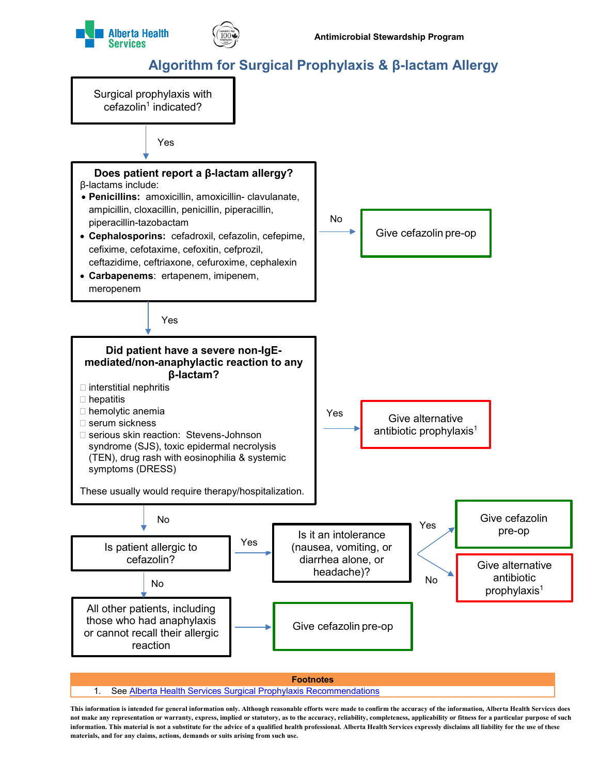



## **Algorithm for Surgical Prophylaxis & β-lactam Allergy**

Surgical prophylaxis with  $cefazolin<sup>1</sup> indicated?$ 



1. See [Alberta Health Services Surgical Prophylaxis Recommendations](http://www.albertahealthservices.ca/assets/Infofor/hp/if-hp-antimicrobial-stewardship-surgical-prophylaxis.pdf)

**This information is intended for general information only. Although reasonable efforts were made to confirm the accuracy of the information, Alberta Health Services does not make any representation or warranty, express, implied or statutory, as to the accuracy, reliability, completeness, applicability or fitness for a particular purpose of such information. This material is not a substitute for the advice of a qualified health professional. Alberta Health Services expressly disclaims all liability for the use of these materials, and for any claims, actions, demands or suits arising from such use.**